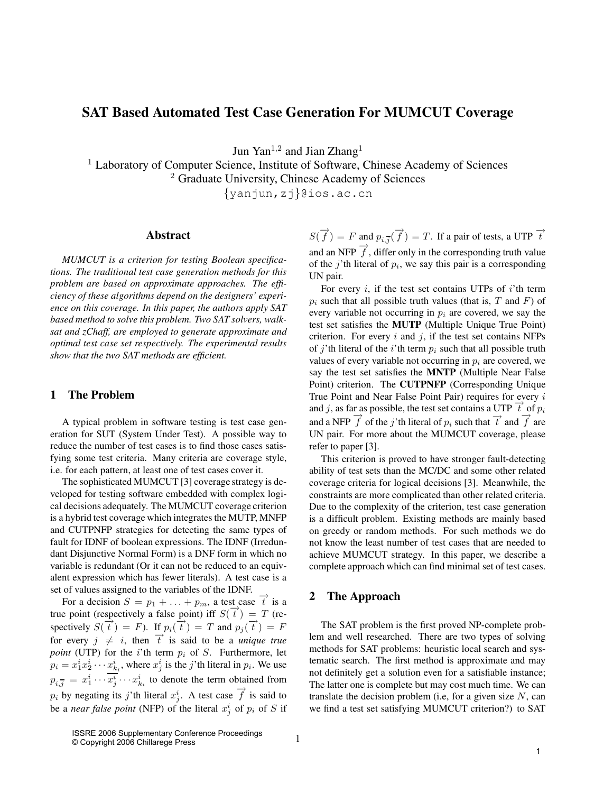# **SAT Based Automated Test Case Generation For MUMCUT Coverage**

Jun  $\text{Yan}^{1,2}$  and Jian Zhang<sup>1</sup>

<sup>1</sup> Laboratory of Computer Science, Institute of Software, Chinese Academy of Sciences

<sup>2</sup> Graduate University, Chinese Academy of Sciences

{yanjun,zj}@ios.ac.cn

### **Abstract**

*MUMCUT is a criterion for testing Boolean specifications. The traditional test case generation methods for this problem are based on approximate approaches. The efficiency of these algorithms depend on the designers' experience on this coverage. In this paper, the authors apply SAT based method to solve this problem. Two SAT solvers, walksat and zChaff, are employed to generate approximate and optimal test case set respectively. The experimental results show that the two SAT methods are efficient.*

## **1 The Problem**

A typical problem in software testing is test case generation for SUT (System Under Test). A possible way to reduce the number of test cases is to find those cases satisfying some test criteria. Many criteria are coverage style, i.e. for each pattern, at least one of test cases cover it.

The sophisticated MUMCUT [3] coverage strategy is developed for testing software embedded with complex logical decisions adequately. The MUMCUT coverage criterion is a hybrid test coverage which integrates the MUTP, MNFP and CUTPNFP strategies for detecting the same types of fault for IDNF of boolean expressions. The IDNF (Irredundant Disjunctive Normal Form) is a DNF form in which no variable is redundant (Or it can not be reduced to an equivalent expression which has fewer literals). A test case is a set of values assigned to the variables of the IDNF.

For a decision  $S = p_1 + \ldots + p_m$ , a test case  $\overrightarrow{t}$  is a true point (respectively a false point) iff  $S(\vec{t}) = T$  (respectively  $S(\vec{t}) = F$ ). If  $p_i(\vec{t}) = T$  and  $p_j(\vec{t}) = F$ for every  $j \neq i$ , then  $\overrightarrow{t}$  is said to be a *unique true point* (UTP) for the *i*'th term  $p_i$  of S. Furthermore, let  $p_i = x_1^i x_2^i \cdots x_{k_i}^i$ , where  $x_j^i$  is the *j*'th literal in  $p_i$ . We use  $p_{i,\overline{j}} = x_1^i \cdots \overline{x_j^i} \cdots x_{k_i}^i$  to denote the term obtained from  $p_i$  by negating its j'th literal  $x_j^i$ . A test case  $\overrightarrow{f}$  is said to be a *near false point* (NFP) of the literal  $x_j^i$  of  $p_i$  of S if

 $S(\overrightarrow{f}) = F$  and  $p_{i,\overrightarrow{j}}(\overrightarrow{f}) = T$ . If a pair of tests, a UTP  $\overrightarrow{t}$ and an NFP  $\overrightarrow{f}$ , differ only in the corresponding truth value of the j'th literal of  $p_i$ , we say this pair is a corresponding UN pair.

For every  $i$ , if the test set contains UTPs of  $i$ 'th term  $p_i$  such that all possible truth values (that is, T and F) of every variable not occurring in  $p_i$  are covered, we say the test set satisfies the **MUTP** (Multiple Unique True Point) criterion. For every  $i$  and  $j$ , if the test set contains NFPs of j'th literal of the i'th term  $p_i$  such that all possible truth values of every variable not occurring in  $p_i$  are covered, we say the test set satisfies the **MNTP** (Multiple Near False Point) criterion. The **CUTPNFP** (Corresponding Unique True Point and Near False Point Pair) requires for every i and j, as far as possible, the test set contains a UTP  $\vec{t}$  of  $p_i$ and a NFP  $\vec{f}$  of the j'th literal of  $p_i$  such that  $\vec{t}$  and  $\vec{f}$  are UN pair. For more about the MUMCUT coverage, please refer to paper [3].

This criterion is proved to have stronger fault-detecting ability of test sets than the MC/DC and some other related coverage criteria for logical decisions [3]. Meanwhile, the constraints are more complicated than other related criteria. Due to the complexity of the criterion, test case generation is a difficult problem. Existing methods are mainly based on greedy or random methods. For such methods we do not know the least number of test cases that are needed to achieve MUMCUT strategy. In this paper, we describe a complete approach which can find minimal set of test cases.

### **2 The Approach**

The SAT problem is the first proved NP-complete problem and well researched. There are two types of solving methods for SAT problems: heuristic local search and systematic search. The first method is approximate and may not definitely get a solution even for a satisfiable instance; The latter one is complete but may cost much time. We can translate the decision problem (i.e., for a given size  $N$ , can we find a test set satisfying MUMCUT criterion?) to SAT